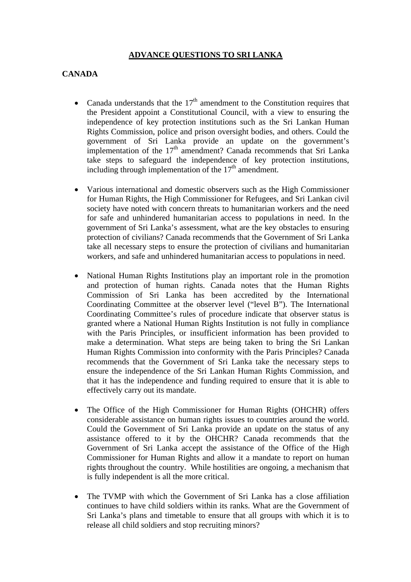### **ADVANCE QUESTIONS TO SRI LANKA**

#### **CANADA**

- Canada understands that the  $17<sup>th</sup>$  amendment to the Constitution requires that the President appoint a Constitutional Council, with a view to ensuring the independence of key protection institutions such as the Sri Lankan Human Rights Commission, police and prison oversight bodies, and others. Could the government of Sri Lanka provide an update on the government's implementation of the  $17<sup>th</sup>$  amendment? Canada recommends that Sri Lanka take steps to safeguard the independence of key protection institutions, including through implementation of the  $17<sup>th</sup>$  amendment.
- Various international and domestic observers such as the High Commissioner for Human Rights, the High Commissioner for Refugees, and Sri Lankan civil society have noted with concern threats to humanitarian workers and the need for safe and unhindered humanitarian access to populations in need. In the government of Sri Lanka's assessment, what are the key obstacles to ensuring protection of civilians? Canada recommends that the Government of Sri Lanka take all necessary steps to ensure the protection of civilians and humanitarian workers, and safe and unhindered humanitarian access to populations in need.
- National Human Rights Institutions play an important role in the promotion and protection of human rights. Canada notes that the Human Rights Commission of Sri Lanka has been accredited by the International Coordinating Committee at the observer level ("level B"). The International Coordinating Committee's rules of procedure indicate that observer status is granted where a National Human Rights Institution is not fully in compliance with the Paris Principles, or insufficient information has been provided to make a determination. What steps are being taken to bring the Sri Lankan Human Rights Commission into conformity with the Paris Principles? Canada recommends that the Government of Sri Lanka take the necessary steps to ensure the independence of the Sri Lankan Human Rights Commission, and that it has the independence and funding required to ensure that it is able to effectively carry out its mandate.
- The Office of the High Commissioner for Human Rights (OHCHR) offers considerable assistance on human rights issues to countries around the world. Could the Government of Sri Lanka provide an update on the status of any assistance offered to it by the OHCHR? Canada recommends that the Government of Sri Lanka accept the assistance of the Office of the High Commissioner for Human Rights and allow it a mandate to report on human rights throughout the country. While hostilities are ongoing, a mechanism that is fully independent is all the more critical.
- The TVMP with which the Government of Sri Lanka has a close affiliation continues to have child soldiers within its ranks. What are the Government of Sri Lanka's plans and timetable to ensure that all groups with which it is to release all child soldiers and stop recruiting minors?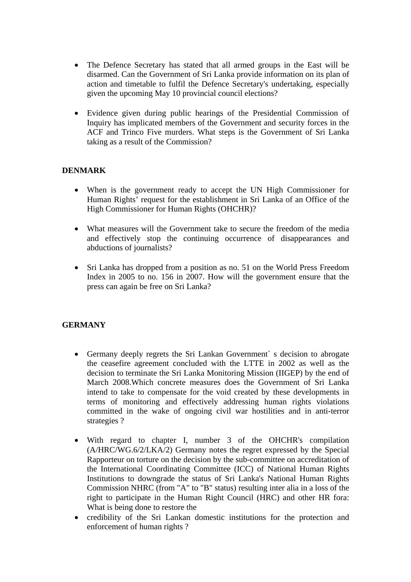- The Defence Secretary has stated that all armed groups in the East will be disarmed. Can the Government of Sri Lanka provide information on its plan of action and timetable to fulfil the Defence Secretary's undertaking, especially given the upcoming May 10 provincial council elections?
- Evidence given during public hearings of the Presidential Commission of Inquiry has implicated members of the Government and security forces in the ACF and Trinco Five murders. What steps is the Government of Sri Lanka taking as a result of the Commission?

### **DENMARK**

- When is the government ready to accept the UN High Commissioner for Human Rights' request for the establishment in Sri Lanka of an Office of the High Commissioner for Human Rights (OHCHR)?
- What measures will the Government take to secure the freedom of the media and effectively stop the continuing occurrence of disappearances and abductions of journalists?
- Sri Lanka has dropped from a position as no. 51 on the World Press Freedom Index in 2005 to no. 156 in 2007. How will the government ensure that the press can again be free on Sri Lanka?

### **GERMANY**

- Germany deeply regrets the Sri Lankan Government` s decision to abrogate the ceasefire agreement concluded with the LTTE in 2002 as well as the decision to terminate the Sri Lanka Monitoring Mission (IIGEP) by the end of March 2008.Which concrete measures does the Government of Sri Lanka intend to take to compensate for the void created by these developments in terms of monitoring and effectively addressing human rights violations committed in the wake of ongoing civil war hostilities and in anti-terror strategies ?
- With regard to chapter I, number 3 of the OHCHR's compilation (A/HRC/WG.6/2/LKA/2) Germany notes the regret expressed by the Special Rapporteur on torture on the decision by the sub-committee on accreditation of the International Coordinating Committee (ICC) of National Human Rights Institutions to downgrade the status of Sri Lanka's National Human Rights Commission NHRC (from "A" to "B" status) resulting inter alia in a loss of the right to participate in the Human Right Council (HRC) and other HR fora: What is being done to restore the
- credibility of the Sri Lankan domestic institutions for the protection and enforcement of human rights ?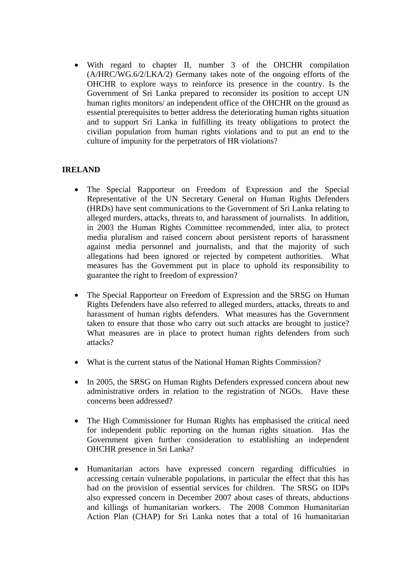• With regard to chapter II, number 3 of the OHCHR compilation (A/HRC/WG.6/2/LKA/2) Germany takes note of the ongoing efforts of the OHCHR to explore ways to reinforce its presence in the country. Is the Government of Sri Lanka prepared to reconsider its position to accept UN human rights monitors/ an independent office of the OHCHR on the ground as essential prerequisites to better address the deteriorating human rights situation and to support Sri Lanka in fulfilling its treaty obligations to protect the civilian population from human rights violations and to put an end to the culture of impunity for the perpetrators of HR violations?

# **IRELAND**

- The Special Rapporteur on Freedom of Expression and the Special Representative of the UN Secretary General on Human Rights Defenders (HRDs) have sent communications to the Government of Sri Lanka relating to alleged murders, attacks, threats to, and harassment of journalists. In addition, in 2003 the Human Rights Committee recommended, inter alia, to protect media pluralism and raised concern about persistent reports of harassment against media personnel and journalists, and that the majority of such allegations had been ignored or rejected by competent authorities. What measures has the Government put in place to uphold its responsibility to guarantee the right to freedom of expression?
- The Special Rapporteur on Freedom of Expression and the SRSG on Human Rights Defenders have also referred to alleged murders, attacks, threats to and harassment of human rights defenders. What measures has the Government taken to ensure that those who carry out such attacks are brought to justice? What measures are in place to protect human rights defenders from such attacks?
- What is the current status of the National Human Rights Commission?
- In 2005, the SRSG on Human Rights Defenders expressed concern about new administrative orders in relation to the registration of NGOs. Have these concerns been addressed?
- The High Commissioner for Human Rights has emphasised the critical need for independent public reporting on the human rights situation. Has the Government given further consideration to establishing an independent OHCHR presence in Sri Lanka?
- Humanitarian actors have expressed concern regarding difficulties in accessing certain vulnerable populations, in particular the effect that this has had on the provision of essential services for children. The SRSG on IDPs also expressed concern in December 2007 about cases of threats, abductions and killings of humanitarian workers. The 2008 Common Humanitarian Action Plan (CHAP) for Sri Lanka notes that a total of 16 humanitarian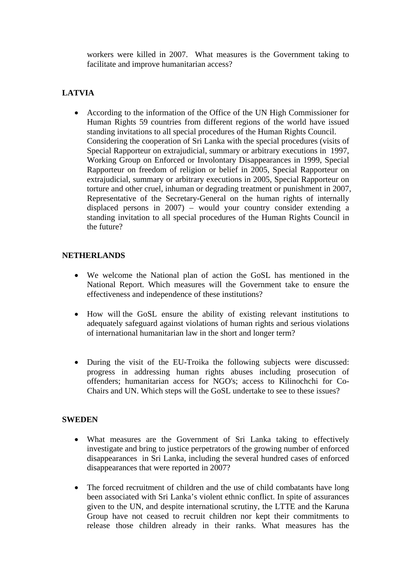workers were killed in 2007. What measures is the Government taking to facilitate and improve humanitarian access?

# **LATVIA**

• According to the information of the Office of the UN High Commissioner for Human Rights 59 countries from different regions of the world have issued standing invitations to all special procedures of the Human Rights Council. Considering the cooperation of Sri Lanka with the special procedures (visits of Special Rapporteur on extrajudicial, summary or arbitrary executions in 1997, Working Group on Enforced or Involontary Disappearances in 1999, Special Rapporteur on freedom of religion or belief in 2005, Special Rapporteur on extrajudicial, summary or arbitrary executions in 2005, Special Rapporteur on torture and other cruel, inhuman or degrading treatment or punishment in 2007, Representative of the Secretary-General on the human rights of internally displaced persons in 2007) – would your country consider extending a standing invitation to all special procedures of the Human Rights Council in the future?

### **NETHERLANDS**

- We welcome the National plan of action the GoSL has mentioned in the National Report. Which measures will the Government take to ensure the effectiveness and independence of these institutions?
- How will the GoSL ensure the ability of existing relevant institutions to adequately safeguard against violations of human rights and serious violations of international humanitarian law in the short and longer term?
- During the visit of the EU-Troika the following subjects were discussed: progress in addressing human rights abuses including prosecution of offenders; humanitarian access for NGO's; access to Kilinochchi for Co-Chairs and UN. Which steps will the GoSL undertake to see to these issues?

### **SWEDEN**

- What measures are the Government of Sri Lanka taking to effectively investigate and bring to justice perpetrators of the growing number of enforced disappearances in Sri Lanka, including the several hundred cases of enforced disappearances that were reported in 2007?
- The forced recruitment of children and the use of child combatants have long been associated with Sri Lanka's violent ethnic conflict. In spite of assurances given to the UN, and despite international scrutiny, the LTTE and the Karuna Group have not ceased to recruit children nor kept their commitments to release those children already in their ranks. What measures has the